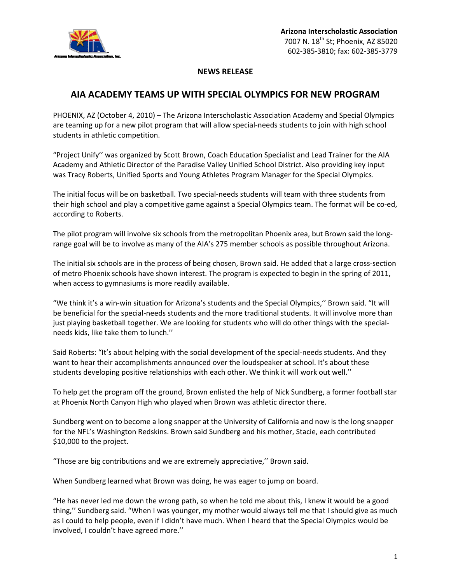

## **NEWS RELEASE**

## **AIA ACADEMY TEAMS UP WITH SPECIAL OLYMPICS FOR NEW PROGRAM**

PHOENIX, AZ (October 4, 2010) – The Arizona Interscholastic Association Academy and Special Olympics are teaming up for a new pilot program that will allow special-needs students to join with high school students in athletic competition.

"Project Unify'' was organized by Scott Brown, Coach Education Specialist and Lead Trainer for the AIA Academy and Athletic Director of the Paradise Valley Unified School District. Also providing key input was Tracy Roberts, Unified Sports and Young Athletes Program Manager for the Special Olympics.

The initial focus will be on basketball. Two special‐needs students will team with three students from their high school and play a competitive game against a Special Olympics team. The format will be co‐ed, according to Roberts.

The pilot program will involve six schools from the metropolitan Phoenix area, but Brown said the long‐ range goal will be to involve as many of the AIA's 275 member schools as possible throughout Arizona.

The initial six schools are in the process of being chosen, Brown said. He added that a large cross‐section of metro Phoenix schools have shown interest. The program is expected to begin in the spring of 2011, when access to gymnasiums is more readily available.

"We think it's a win‐win situation for Arizona's students and the Special Olympics,'' Brown said. "It will be beneficial for the special-needs students and the more traditional students. It will involve more than just playing basketball together. We are looking for students who will do other things with the special‐ needs kids, like take them to lunch.''

Said Roberts: "It's about helping with the social development of the special-needs students. And they want to hear their accomplishments announced over the loudspeaker at school. It's about these students developing positive relationships with each other. We think it will work out well.''

To help get the program off the ground, Brown enlisted the help of Nick Sundberg, a former football star at Phoenix North Canyon High who played when Brown was athletic director there.

Sundberg went on to become a long snapper at the University of California and now is the long snapper for the NFL's Washington Redskins. Brown said Sundberg and his mother, Stacie, each contributed \$10,000 to the project.

"Those are big contributions and we are extremely appreciative,'' Brown said.

When Sundberg learned what Brown was doing, he was eager to jump on board.

"He has never led me down the wrong path, so when he told me about this, I knew it would be a good thing,'' Sundberg said. "When I was younger, my mother would always tell me that I should give as much as I could to help people, even if I didn't have much. When I heard that the Special Olympics would be involved, I couldn't have agreed more.''